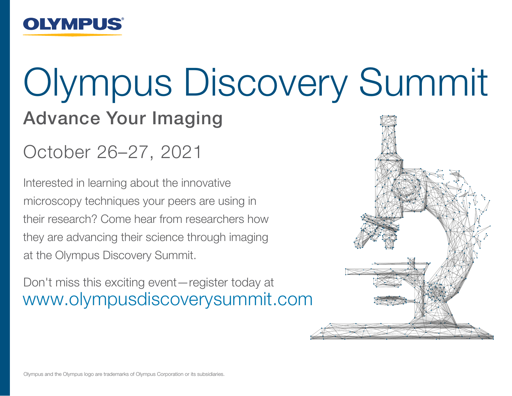

# Olympus Discovery Summit

### Advance Your Imaging

October 26–27, 2021

Interested in learning about the innovative microscopy techniques your peers are using in their research? Come hear from researchers how they are advancing their science through imaging at the Olympus Discovery Summit.

Don't miss this exciting event—register today at www.olympusdiscoverysummit.com